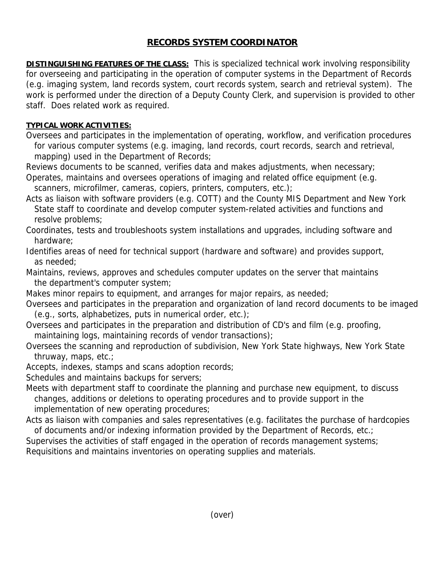## **RECORDS SYSTEM COORDINATOR**

**DISTINGUISHING FEATURES OF THE CLASS:** This is specialized technical work involving responsibility for overseeing and participating in the operation of computer systems in the Department of Records (e.g. imaging system, land records system, court records system, search and retrieval system). The work is performed under the direction of a Deputy County Clerk, and supervision is provided to other staff. Does related work as required.

## **TYPICAL WORK ACTIVITIES:**

Oversees and participates in the implementation of operating, workflow, and verification procedures for various computer systems (e.g. imaging, land records, court records, search and retrieval, mapping) used in the Department of Records;

Reviews documents to be scanned, verifies data and makes adjustments, when necessary; Operates, maintains and oversees operations of imaging and related office equipment (e.g.

scanners, microfilmer, cameras, copiers, printers, computers, etc.);

Acts as liaison with software providers (e.g. COTT) and the County MIS Department and New York State staff to coordinate and develop computer system-related activities and functions and resolve problems;

Coordinates, tests and troubleshoots system installations and upgrades, including software and hardware;

Identifies areas of need for technical support (hardware and software) and provides support, as needed;

Maintains, reviews, approves and schedules computer updates on the server that maintains the department's computer system;

Makes minor repairs to equipment, and arranges for major repairs, as needed;

Oversees and participates in the preparation and organization of land record documents to be imaged (e.g., sorts, alphabetizes, puts in numerical order, etc.);

Oversees and participates in the preparation and distribution of CD's and film (e.g. proofing, maintaining logs, maintaining records of vendor transactions);

Oversees the scanning and reproduction of subdivision, New York State highways, New York State thruway, maps, etc.;

Accepts, indexes, stamps and scans adoption records;

Schedules and maintains backups for servers;

Meets with department staff to coordinate the planning and purchase new equipment, to discuss changes, additions or deletions to operating procedures and to provide support in the implementation of new operating procedures;

Acts as liaison with companies and sales representatives (e.g. facilitates the purchase of hardcopies of documents and/or indexing information provided by the Department of Records, etc.;

Supervises the activities of staff engaged in the operation of records management systems;

Requisitions and maintains inventories on operating supplies and materials.